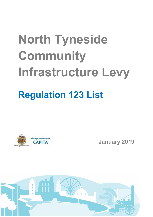## North Tyneside Community Infrastructure Levy Regulation 123 List



January 2019